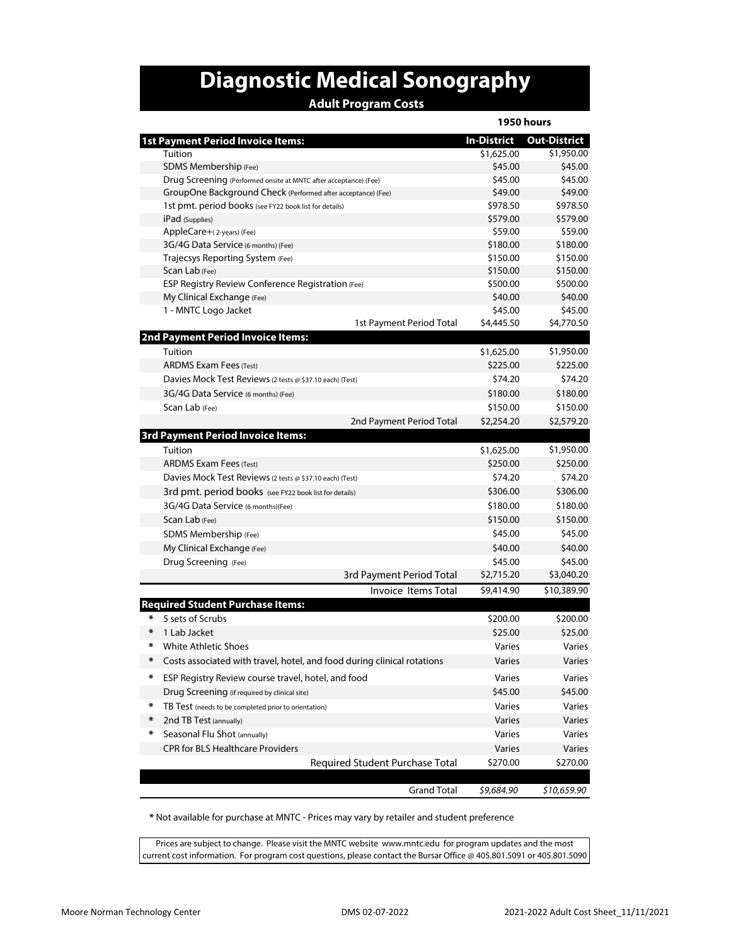## **Diagnostic Medical Sonography**

## **Adult Program Costs**

|        |                                                                         | 1950 hours         |                     |
|--------|-------------------------------------------------------------------------|--------------------|---------------------|
|        | <b>1st Payment Period Invoice Items:</b>                                | <b>In-District</b> | <b>Out-District</b> |
|        | Tuition                                                                 | \$1,625.00         | \$1,950.00          |
|        | SDMS Membership (Fee)                                                   | \$45.00            | \$45.00             |
|        | Drug Screening (Performed onsite at MNTC after acceptance) (Fee)        | \$45.00            | \$45.00             |
|        | GroupOne Background Check (Performed after acceptance) (Fee)            | \$49.00            | \$49.00             |
|        | 1st pmt. period books (see FY22 book list for details)                  | \$978.50           | \$978.50            |
|        | iPad (Supplies)                                                         | \$579.00           | \$579.00            |
|        | AppleCare+(2-years) (Fee)                                               | \$59.00            | \$59.00             |
|        | 3G/4G Data Service (6 months) (Fee)                                     | \$180.00           | \$180.00            |
|        | Trajecsys Reporting System (Fee)                                        | \$150.00           | \$150.00            |
|        | Scan Lab (Fee)                                                          | \$150.00           | \$150.00            |
|        | <b>ESP Registry Review Conference Registration (Fee)</b>                | \$500.00           | \$500.00            |
|        | My Clinical Exchange (Fee)                                              | \$40.00            | \$40.00             |
|        | 1 - MNTC Logo Jacket                                                    | \$45.00            | \$45.00             |
|        | 1st Payment Period Total                                                | \$4,445.50         | \$4,770.50          |
|        | <b>2nd Payment Period Invoice Items:</b>                                |                    |                     |
|        | Tuition                                                                 | \$1,625.00         | \$1,950.00          |
|        | <b>ARDMS Exam Fees (Test)</b>                                           | \$225.00           | \$225.00            |
|        | Davies Mock Test Reviews (2 tests @ \$37.10 each) (Test)                | \$74.20            | \$74.20             |
|        | 3G/4G Data Service (6 months) (Fee)                                     | \$180.00           | \$180.00            |
|        | Scan Lab (Fee)                                                          | \$150.00           | \$150.00            |
|        | 2nd Payment Period Total                                                | \$2,254.20         | \$2,579.20          |
|        | <b>3rd Payment Period Invoice Items:</b>                                |                    |                     |
|        | Tuition                                                                 | \$1,625.00         | \$1,950.00          |
|        | <b>ARDMS Exam Fees (Test)</b>                                           | \$250.00           | \$250.00            |
|        | Davies Mock Test Reviews (2 tests @ \$37.10 each) (Test)                | \$74.20            | \$74.20             |
|        | 3rd pmt. period books (see FY22 book list for details)                  | \$306.00           | \$306.00            |
|        | 3G/4G Data Service (6 months)(Fee)                                      | \$180.00           | \$180.00            |
|        | Scan Lab (Fee)                                                          | \$150.00           | \$150.00            |
|        | SDMS Membership (Fee)                                                   | \$45.00            | \$45.00             |
|        | My Clinical Exchange (Fee)                                              | \$40.00            | \$40.00             |
|        | Drug Screening (Fee)                                                    | \$45.00            | \$45.00             |
|        | 3rd Payment Period Total                                                | \$2,715.20         | \$3,040.20          |
|        | <b>Invoice Items Total</b>                                              | \$9,414.90         | \$10,389.90         |
|        | <b>Required Student Purchase Items:</b>                                 |                    |                     |
| ∗      | 5 sets of Scrubs                                                        | \$200.00           | \$200.00            |
| ∗      | 1 Lab Jacket                                                            | \$25.00            | \$25.00             |
| ∗      | White Athletic Shoes                                                    | Varies             | Varies              |
| ∗      | Costs associated with travel, hotel, and food during clinical rotations | Varies             | Varies              |
|        |                                                                         |                    |                     |
| ₩      | ESP Registry Review course travel, hotel, and food                      | Varies             | Varies              |
|        | Drug Screening (if required by clinical site)                           | \$45.00            | \$45.00             |
| ∗      | TB Test (needs to be completed prior to orientation)                    | Varies             | Varies              |
| $\ast$ | 2nd TB Test (annually)                                                  | Varies             | Varies              |
| ∗      | Seasonal Flu Shot (annually)                                            | Varies             | Varies              |
|        | <b>CPR for BLS Healthcare Providers</b>                                 | Varies             | Varies              |
|        | Required Student Purchase Total                                         | \$270.00           | \$270.00            |
|        | <b>Grand Total</b>                                                      | \$9,684.90         | \$10,659.90         |

 **\*** Not available for purchase at MNTC - Prices may vary by retailer and student preference

Prices are subject to change. Please visit the MNTC website www.mntc.edu for program updates and the most current cost information. For program cost questions, please contact the Bursar Office @ 405.801.5091 or 405.801.5090